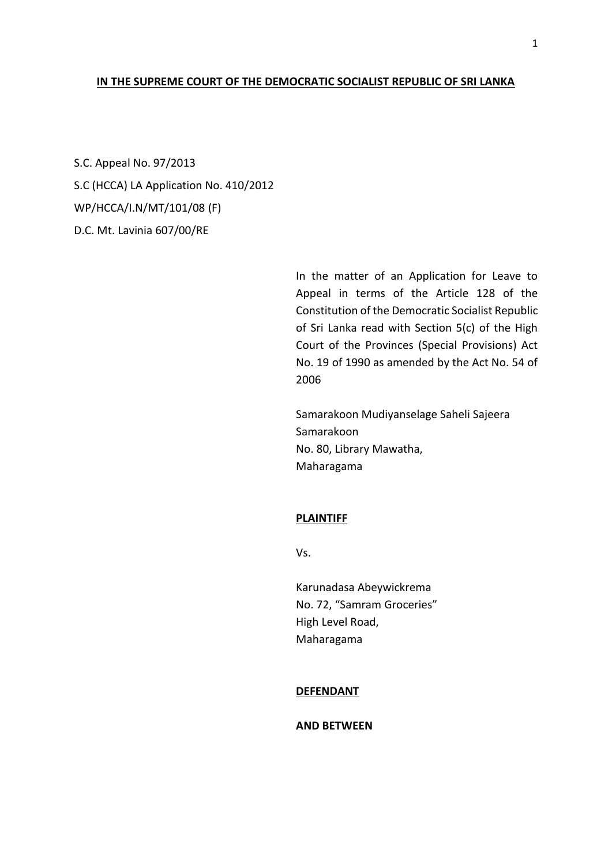## **IN THE SUPREME COURT OF THE DEMOCRATIC SOCIALIST REPUBLIC OF SRI LANKA**

S.C. Appeal No. 97/2013 S.C (HCCA) LA Application No. 410/2012 WP/HCCA/I.N/MT/101/08 (F) D.C. Mt. Lavinia 607/00/RE

> In the matter of an Application for Leave to Appeal in terms of the Article 128 of the Constitution of the Democratic Socialist Republic of Sri Lanka read with Section 5(c) of the High Court of the Provinces (Special Provisions) Act No. 19 of 1990 as amended by the Act No. 54 of 2006

Samarakoon Mudiyanselage Saheli Sajeera Samarakoon No. 80, Library Mawatha, Maharagama

#### **PLAINTIFF**

Vs.

Karunadasa Abeywickrema No. 72, "Samram Groceries" High Level Road, Maharagama

#### **DEFENDANT**

#### **AND BETWEEN**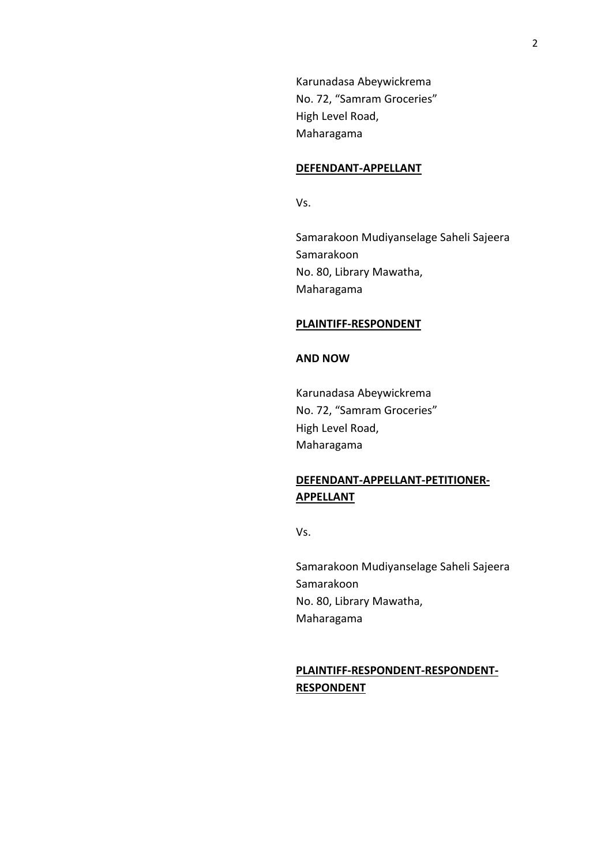Karunadasa Abeywickrema No. 72, "Samram Groceries" High Level Road, Maharagama

### **DEFENDANT-APPELLANT**

Vs.

Samarakoon Mudiyanselage Saheli Sajeera Samarakoon No. 80, Library Mawatha, Maharagama

#### **PLAINTIFF-RESPONDENT**

## **AND NOW**

Karunadasa Abeywickrema No. 72, "Samram Groceries" High Level Road, Maharagama

# **DEFENDANT-APPELLANT-PETITIONER-APPELLANT**

Vs.

Samarakoon Mudiyanselage Saheli Sajeera Samarakoon No. 80, Library Mawatha, Maharagama

## **PLAINTIFF-RESPONDENT-RESPONDENT-RESPONDENT**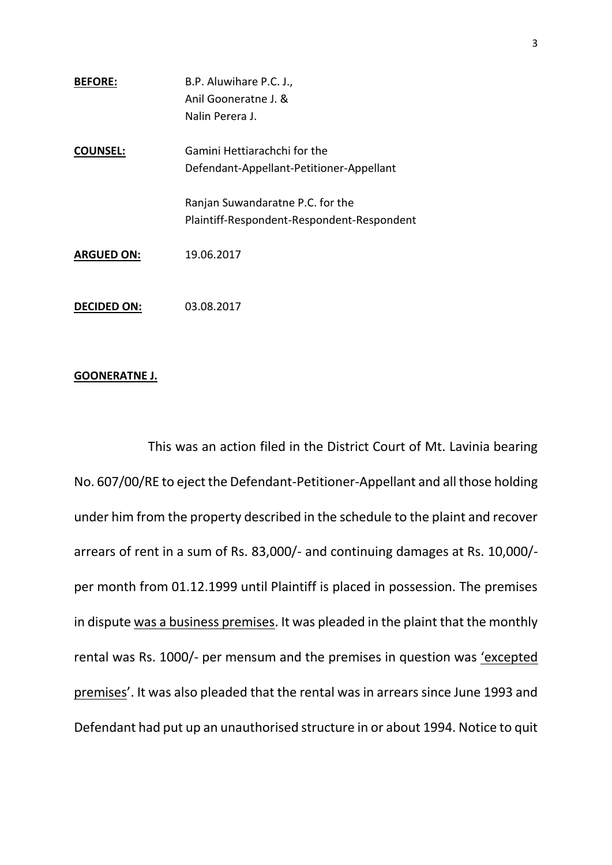| <b>BEFORE:</b>     | B.P. Aluwihare P.C. J.,                                                        |
|--------------------|--------------------------------------------------------------------------------|
|                    | Anil Gooneratne J. &                                                           |
|                    | Nalin Perera J.                                                                |
| <b>COUNSEL:</b>    | Gamini Hettiarachchi for the                                                   |
|                    | Defendant-Appellant-Petitioner-Appellant                                       |
|                    | Ranjan Suwandaratne P.C. for the<br>Plaintiff-Respondent-Respondent-Respondent |
| <b>ARGUED ON:</b>  | 19.06.2017                                                                     |
| <b>DECIDED ON:</b> | 03.08.2017                                                                     |

## **GOONERATNE J.**

This was an action filed in the District Court of Mt. Lavinia bearing No. 607/00/RE to eject the Defendant-Petitioner-Appellant and all those holding under him from the property described in the schedule to the plaint and recover arrears of rent in a sum of Rs. 83,000/- and continuing damages at Rs. 10,000/ per month from 01.12.1999 until Plaintiff is placed in possession. The premises in dispute was a business premises. It was pleaded in the plaint that the monthly rental was Rs. 1000/- per mensum and the premises in question was 'excepted premises'. It was also pleaded that the rental was in arrears since June 1993 and Defendant had put up an unauthorised structure in or about 1994. Notice to quit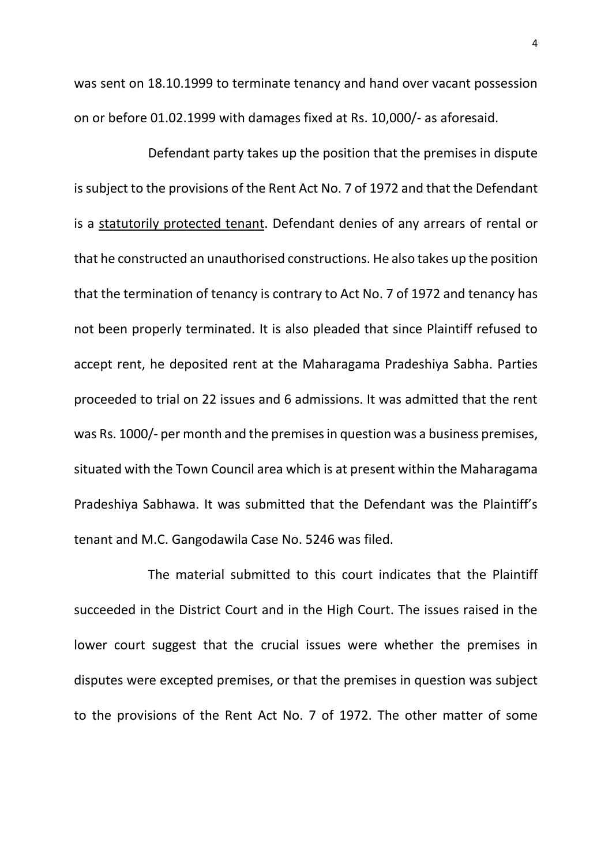was sent on 18.10.1999 to terminate tenancy and hand over vacant possession on or before 01.02.1999 with damages fixed at Rs. 10,000/- as aforesaid.

Defendant party takes up the position that the premises in dispute is subject to the provisions of the Rent Act No. 7 of 1972 and that the Defendant is a statutorily protected tenant. Defendant denies of any arrears of rental or that he constructed an unauthorised constructions. He also takes up the position that the termination of tenancy is contrary to Act No. 7 of 1972 and tenancy has not been properly terminated. It is also pleaded that since Plaintiff refused to accept rent, he deposited rent at the Maharagama Pradeshiya Sabha. Parties proceeded to trial on 22 issues and 6 admissions. It was admitted that the rent was Rs. 1000/- per month and the premises in question was a business premises, situated with the Town Council area which is at present within the Maharagama Pradeshiya Sabhawa. It was submitted that the Defendant was the Plaintiff's tenant and M.C. Gangodawila Case No. 5246 was filed.

The material submitted to this court indicates that the Plaintiff succeeded in the District Court and in the High Court. The issues raised in the lower court suggest that the crucial issues were whether the premises in disputes were excepted premises, or that the premises in question was subject to the provisions of the Rent Act No. 7 of 1972. The other matter of some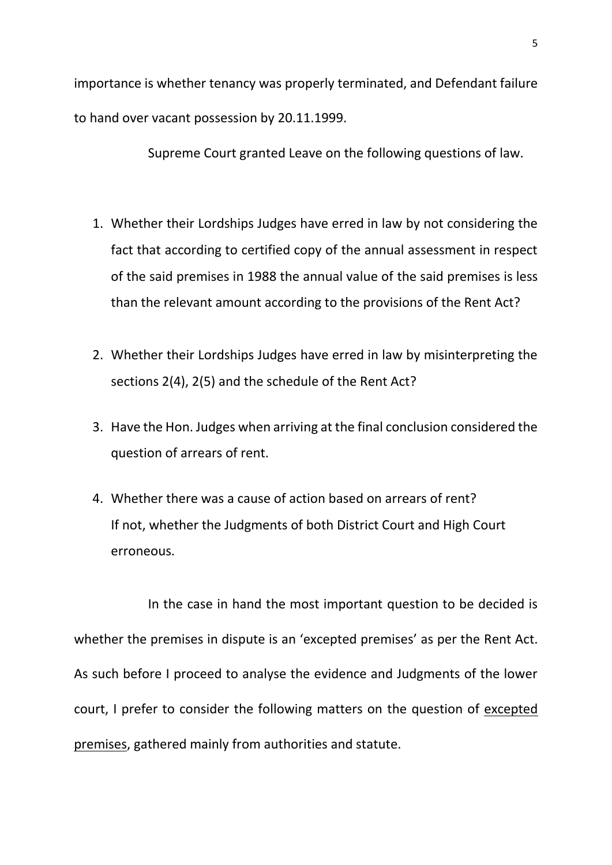importance is whether tenancy was properly terminated, and Defendant failure to hand over vacant possession by 20.11.1999.

Supreme Court granted Leave on the following questions of law.

- 1. Whether their Lordships Judges have erred in law by not considering the fact that according to certified copy of the annual assessment in respect of the said premises in 1988 the annual value of the said premises is less than the relevant amount according to the provisions of the Rent Act?
- 2. Whether their Lordships Judges have erred in law by misinterpreting the sections 2(4), 2(5) and the schedule of the Rent Act?
- 3. Have the Hon. Judges when arriving at the final conclusion considered the question of arrears of rent.
- 4. Whether there was a cause of action based on arrears of rent? If not, whether the Judgments of both District Court and High Court erroneous.

In the case in hand the most important question to be decided is whether the premises in dispute is an 'excepted premises' as per the Rent Act. As such before I proceed to analyse the evidence and Judgments of the lower court, I prefer to consider the following matters on the question of excepted premises, gathered mainly from authorities and statute.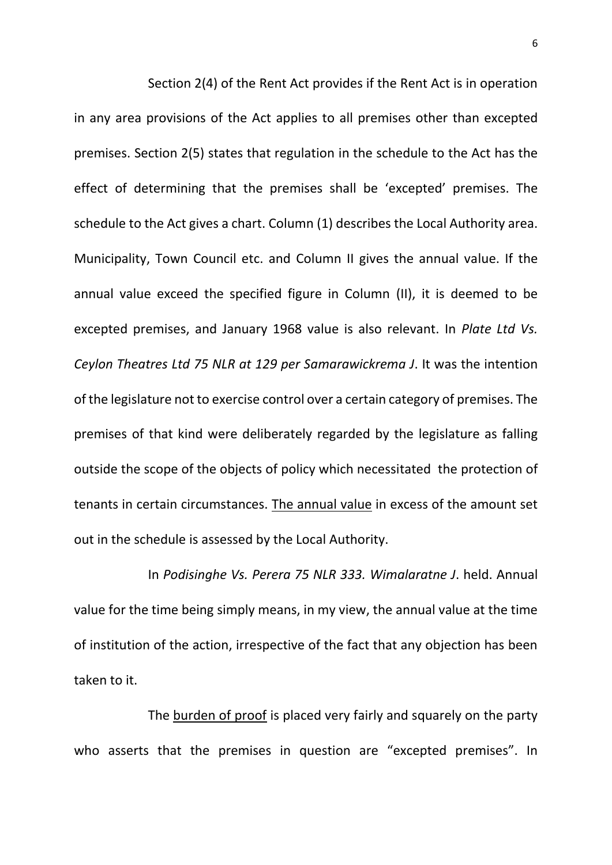Section 2(4) of the Rent Act provides if the Rent Act is in operation in any area provisions of the Act applies to all premises other than excepted premises. Section 2(5) states that regulation in the schedule to the Act has the effect of determining that the premises shall be 'excepted' premises. The schedule to the Act gives a chart. Column (1) describes the Local Authority area. Municipality, Town Council etc. and Column II gives the annual value. If the annual value exceed the specified figure in Column (II), it is deemed to be excepted premises, and January 1968 value is also relevant. In *Plate Ltd Vs. Ceylon Theatres Ltd 75 NLR at 129 per Samarawickrema J*. It was the intention of the legislature not to exercise control over a certain category of premises. The premises of that kind were deliberately regarded by the legislature as falling outside the scope of the objects of policy which necessitated the protection of tenants in certain circumstances. The annual value in excess of the amount set out in the schedule is assessed by the Local Authority.

In *Podisinghe Vs. Perera 75 NLR 333. Wimalaratne J*. held. Annual value for the time being simply means, in my view, the annual value at the time of institution of the action, irrespective of the fact that any objection has been taken to it.

The burden of proof is placed very fairly and squarely on the party who asserts that the premises in question are "excepted premises". In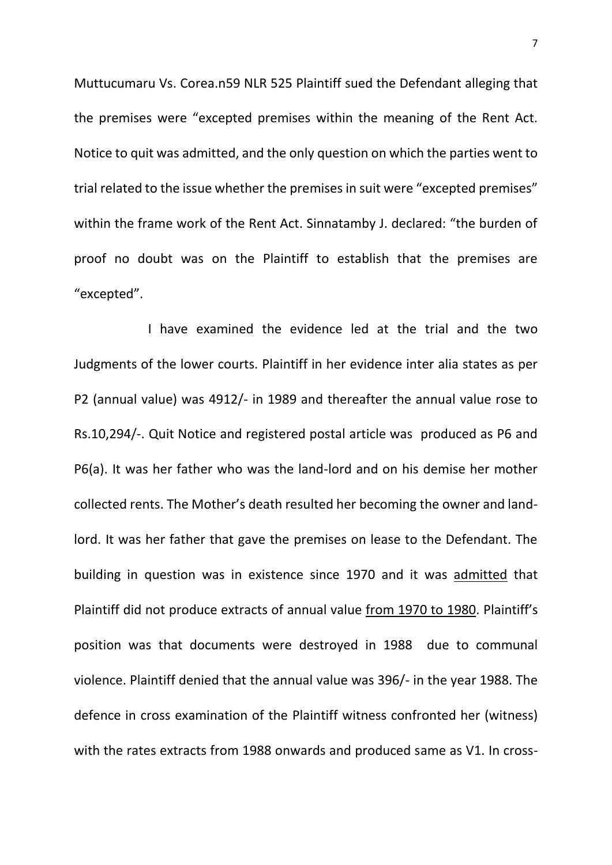Muttucumaru Vs. Corea.n59 NLR 525 Plaintiff sued the Defendant alleging that the premises were "excepted premises within the meaning of the Rent Act. Notice to quit was admitted, and the only question on which the parties went to trial related to the issue whether the premises in suit were "excepted premises" within the frame work of the Rent Act. Sinnatamby J. declared: "the burden of proof no doubt was on the Plaintiff to establish that the premises are "excepted".

I have examined the evidence led at the trial and the two Judgments of the lower courts. Plaintiff in her evidence inter alia states as per P2 (annual value) was 4912/- in 1989 and thereafter the annual value rose to Rs.10,294/-. Quit Notice and registered postal article was produced as P6 and P6(a). It was her father who was the land-lord and on his demise her mother collected rents. The Mother's death resulted her becoming the owner and landlord. It was her father that gave the premises on lease to the Defendant. The building in question was in existence since 1970 and it was admitted that Plaintiff did not produce extracts of annual value from 1970 to 1980. Plaintiff's position was that documents were destroyed in 1988 due to communal violence. Plaintiff denied that the annual value was 396/- in the year 1988. The defence in cross examination of the Plaintiff witness confronted her (witness) with the rates extracts from 1988 onwards and produced same as V1. In cross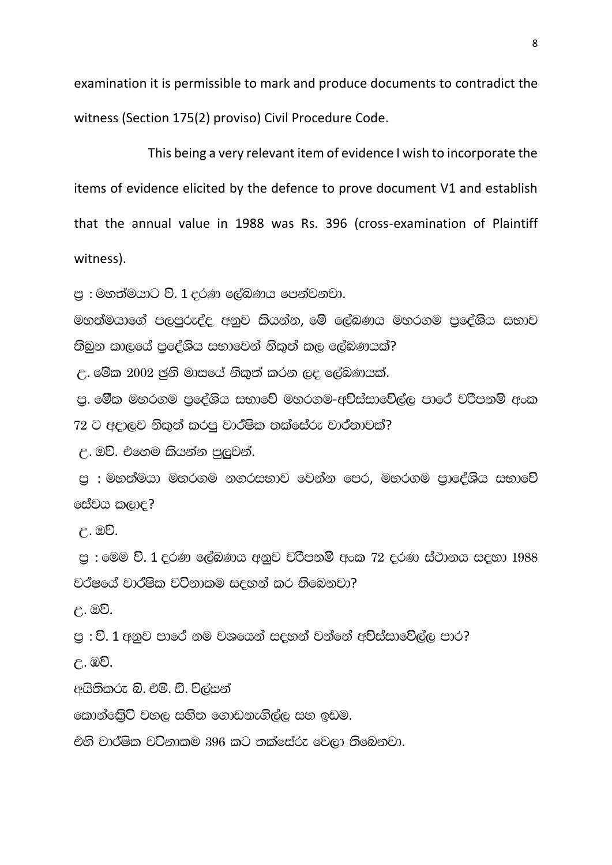examination it is permissible to mark and produce documents to contradict the witness (Section 175(2) proviso) Civil Procedure Code.

This being a very relevant item of evidence I wish to incorporate the items of evidence elicited by the defence to prove document V1 and establish that the annual value in 1988 was Rs. 396 (cross-examination of Plaintiff witness).

 $m \approx$  : මහත්මයාට වි. 1 දරණ ලේඛණය පෙන්වනවා.

මහත්මයාගේ පලපුරුද්ද අනුව කියන්න, මේ ලේබණය මහරගම පුදේශිය සභාව :තිබන කාලයේ පුළේශිය සභාවෙන් නිකුත් කල ලේබණයක්?

 $\epsilon$ . මේක 2002 ජුනි මාසයේ නිකුත් කරන ලද ලේබණයක්.

ප. මේක මහරගම පළේශිය සභාවේ මහරගම-අව්ස්සාවේල්ල පාරේ චරිපනම් අංක  $72$  ට අදාලව නිකුත් කරපු වාර්ෂික තක්සේරු වාර්තාවක්?

 $C.$  ඔව්. එහෙම කියන්න පුලුවන්.

පු : මහත්මයා මහරගම නගරසභාව වෙන්න පෙර, මහරගම පුාදේශිය සභාවේ සේවය කලාද?

 $\mathcal{C}$ . ඔව්.

පු : මෙම වි. 1  $\epsilon$ රණ ලේඛණය අනුව වරිපනම් අංක 72  $\epsilon$ රණ ස්ථානය ස $\epsilon$ හා 1988 වර්ෂයේ වාර්ෂික වටිනාකම සදහන් කර තිබෙනවා?

උ. ඔව්.

ප : වි. 1 අනුව පාරේ නම වශයෙන් සදහන් වන්නේ අ<mark>විස්සාවේ</mark>ල්ල පාර?

උ. ඔව්.

අයිතිකරු බි. එම්. ඩී. විල්සන්

කොන්ඛේට් වහල සහිත ගොඩනැගිල්ල සහ ඉඩම.

එහි වාර්ෂික වටිනාකම 396 කට තක්සේරු වෙලා තිබෙනවා.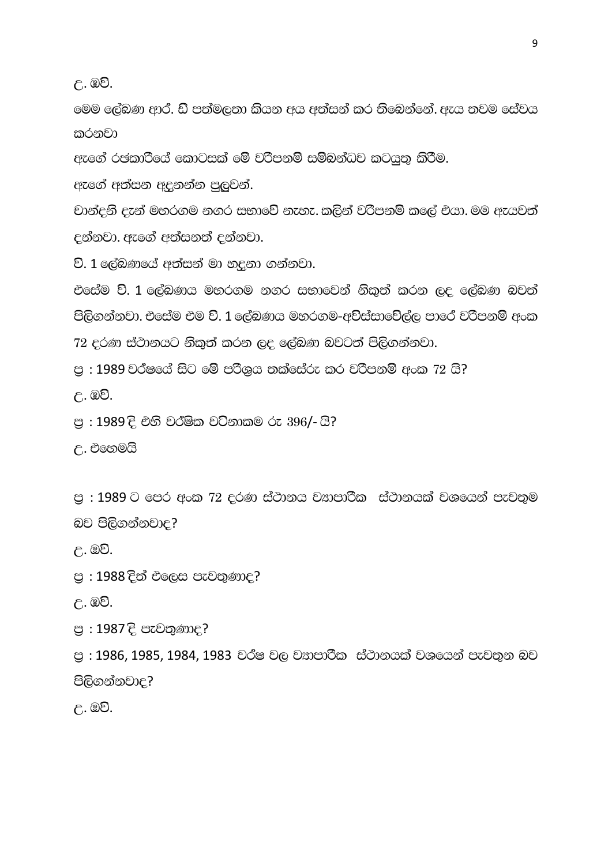උ. ඔව්.

මෙම ලේඛණ ආර. ඩි පත්මලතා කියන අය අත්සන් කර තිබෙන්නේ. ඇය තවම සේවය කරනවා

ඇගේ රජකාරියේ කොටසක් මේ වරිපනම් සම්බන්ධව කටයුතු කිරීම.

ඇගේ අත්සන අදුනන්න පුලුවන්.

චාන්දුනි දැන් මහරගම නගර සභාවේ නැහැ. කලින් වරිපනම් කලේ එයා. මම ඇයවත් දන්නවා. ඇගේ අත්සනත් දන්නවා.

වි. 1 ලේඛණයේ අත්සන් මා හදුනා ගන්නවා.

එසේම වි. 1 ලේබණය මහරගම නගර සභාවෙන් නිකුත් කරන ලද ලේබණ බවත් පිලිගන්නවා. එසේම එම වි. 1 ලේබණය මහරගම-අව්ස්සාවේල්ල පාරේ වරිපනම් අංක 72 cරණ ස්ථානයට නිකුත් කරන ලද ලේබණ බවටත් පිලිගන්නවා.

 $m > 1989$  වර්ෂයේ සිට මේ පරිශූය තක්සේරු කර වරිපනම් අංක 72 යි?

<u>උ. ඔව්.</u>

<u>පු : 1989 දි එහි වර්ෂික වටිනාකම රු 396/- යි?</u>

උ. එහෙමයි

 $m > 1989$   $\circ$  ලපර අංක 72 දරණ ස්ථානය වහපාරික  $\,$  ස්ථානයක් වශයෙන් පැවතුම බව පිලිගන්නවාද?

උ. ඔව්.

<u>පු</u> : 1988 දිත් එලෙස පැවතුණාද?

 $P<sub>u</sub>$ . 20.

පු : 1987 දි පැවතුණාද?

පු : 1986, 1985, 1984, 1983 වර්ෂ වල වසාපාරික ස්ථානයක් වශයෙන් පැවතුන බව පිලිගන්නවාද?

උ. ඔව්.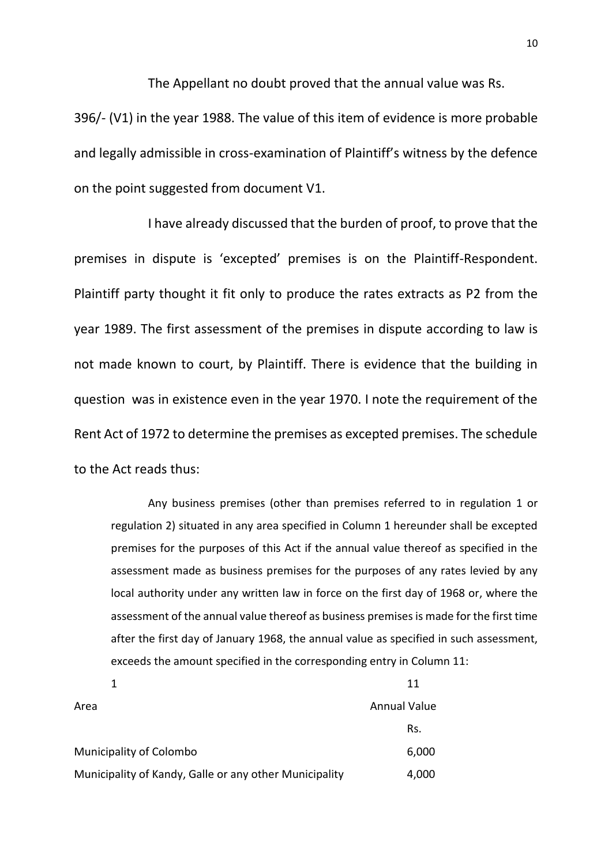The Appellant no doubt proved that the annual value was Rs.

396/- (V1) in the year 1988. The value of this item of evidence is more probable and legally admissible in cross-examination of Plaintiff's witness by the defence on the point suggested from document V1.

I have already discussed that the burden of proof, to prove that the premises in dispute is 'excepted' premises is on the Plaintiff-Respondent. Plaintiff party thought it fit only to produce the rates extracts as P2 from the year 1989. The first assessment of the premises in dispute according to law is not made known to court, by Plaintiff. There is evidence that the building in question was in existence even in the year 1970. I note the requirement of the Rent Act of 1972 to determine the premises as excepted premises. The schedule to the Act reads thus:

Any business premises (other than premises referred to in regulation 1 or regulation 2) situated in any area specified in Column 1 hereunder shall be excepted premises for the purposes of this Act if the annual value thereof as specified in the assessment made as business premises for the purposes of any rates levied by any local authority under any written law in force on the first day of 1968 or, where the assessment of the annual value thereof as business premises is made for the first time after the first day of January 1968, the annual value as specified in such assessment, exceeds the amount specified in the corresponding entry in Column 11:

|                                                        | 11                  |
|--------------------------------------------------------|---------------------|
| Area                                                   | <b>Annual Value</b> |
|                                                        | Rs.                 |
| <b>Municipality of Colombo</b>                         | 6,000               |
| Municipality of Kandy, Galle or any other Municipality | 4,000               |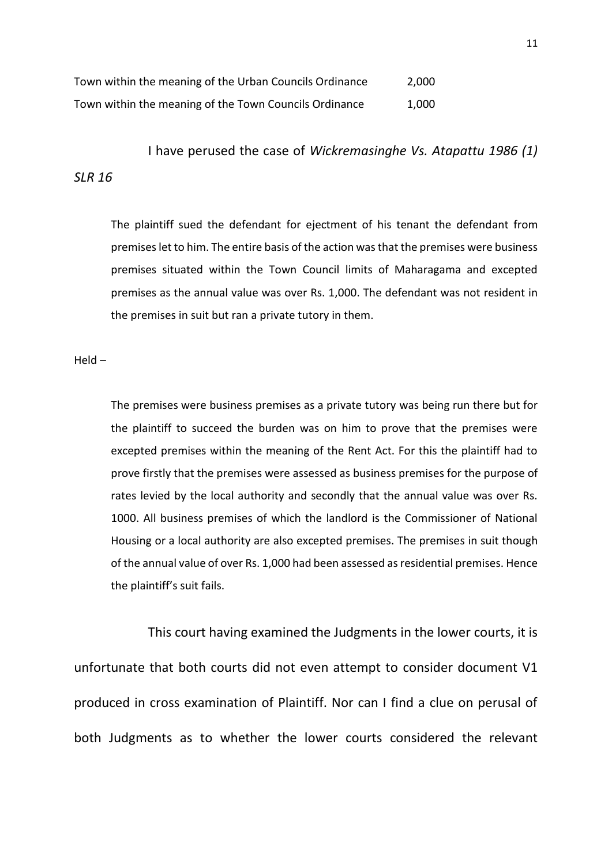| Town within the meaning of the Urban Councils Ordinance | 2,000 |
|---------------------------------------------------------|-------|
| Town within the meaning of the Town Councils Ordinance  | 1,000 |

I have perused the case of *Wickremasinghe Vs. Atapattu 1986 (1) SLR 16*

The plaintiff sued the defendant for ejectment of his tenant the defendant from premises let to him. The entire basis of the action was that the premises were business premises situated within the Town Council limits of Maharagama and excepted premises as the annual value was over Rs. 1,000. The defendant was not resident in the premises in suit but ran a private tutory in them.

Held –

The premises were business premises as a private tutory was being run there but for the plaintiff to succeed the burden was on him to prove that the premises were excepted premises within the meaning of the Rent Act. For this the plaintiff had to prove firstly that the premises were assessed as business premises for the purpose of rates levied by the local authority and secondly that the annual value was over Rs. 1000. All business premises of which the landlord is the Commissioner of National Housing or a local authority are also excepted premises. The premises in suit though of the annual value of over Rs. 1,000 had been assessed as residential premises. Hence the plaintiff's suit fails.

This court having examined the Judgments in the lower courts, it is unfortunate that both courts did not even attempt to consider document V1 produced in cross examination of Plaintiff. Nor can I find a clue on perusal of both Judgments as to whether the lower courts considered the relevant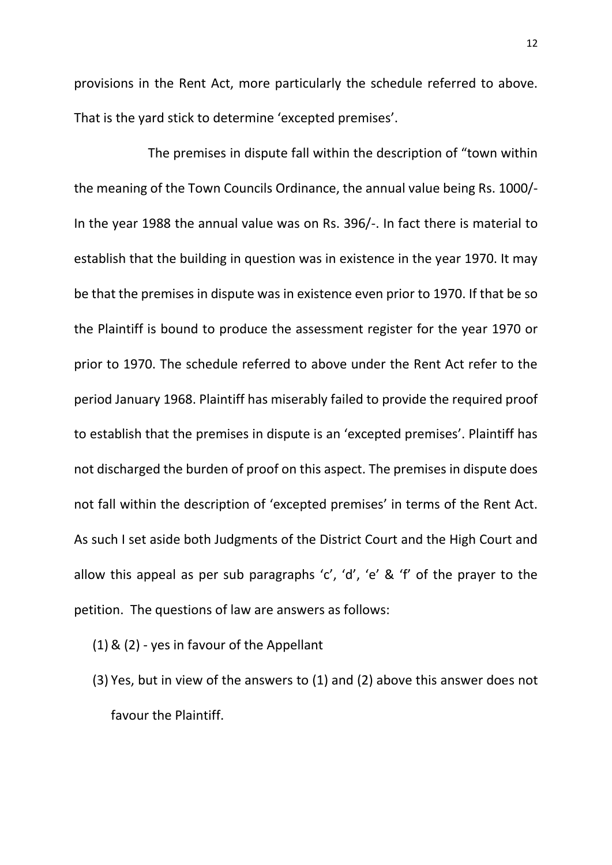provisions in the Rent Act, more particularly the schedule referred to above. That is the yard stick to determine 'excepted premises'.

The premises in dispute fall within the description of "town within the meaning of the Town Councils Ordinance, the annual value being Rs. 1000/- In the year 1988 the annual value was on Rs. 396/-. In fact there is material to establish that the building in question was in existence in the year 1970. It may be that the premises in dispute was in existence even prior to 1970. If that be so the Plaintiff is bound to produce the assessment register for the year 1970 or prior to 1970. The schedule referred to above under the Rent Act refer to the period January 1968. Plaintiff has miserably failed to provide the required proof to establish that the premises in dispute is an 'excepted premises'. Plaintiff has not discharged the burden of proof on this aspect. The premises in dispute does not fall within the description of 'excepted premises' in terms of the Rent Act. As such I set aside both Judgments of the District Court and the High Court and allow this appeal as per sub paragraphs 'c', 'd', 'e' & 'f' of the prayer to the petition. The questions of law are answers as follows:

- (1) & (2) yes in favour of the Appellant
- (3) Yes, but in view of the answers to (1) and (2) above this answer does not favour the Plaintiff.